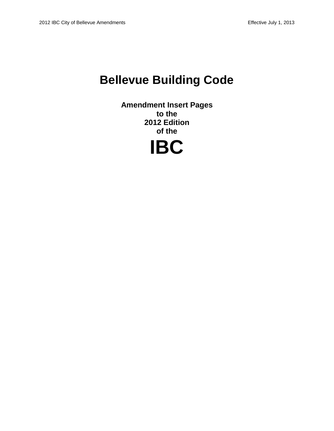# **Bellevue Building Code**

**Amendment Insert Pages to the 2012 Edition of the**

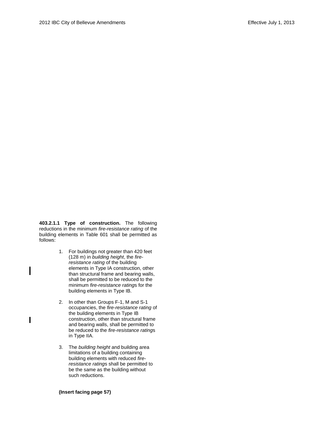**403.2.1.1 Type of construction.** The following reductions in the minimum *fire-resistance rating* of the building elements in Table 601 shall be permitted as follows:

- 1. For buildings not greater than 420 feet (128 m) in *building height*, the *fireresistance rating* of the building elements in Type IA construction, other than structural frame and bearing walls, shall be permitted to be reduced to the minimum *fire-resistance rating*s for the building elements in Type IB.
- 2. In other than Groups F-1, M and S-1 occupancies, the *fire-resistance rating* of the building elements in Type IB construction, other than structural frame and bearing walls, shall be permitted to be reduced to the *fire-resistance rating*s in Type IIA.
- 3. The *building height* and building area limitations of a building containing building elements with reduced *fireresistance rating*s shall be permitted to be the same as the building without such reductions.

**(Insert facing page 57)**

I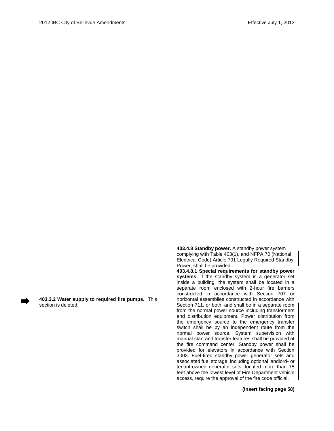**403.3.2 Water supply to required fire pumps.** This section is deleted.

**403.4.8 Standby power.** A standby power system complying with Table 403(1), and NFPA 70 (National Electrical Code) Article 701 Legally Required Standby Power, shall be provided.

**403.4.8.1 Special requirements for standby power systems.** If the standby system is a generator set inside a building, the system shall be located in a separate room enclosed with 2-hour fire barriers constructed in accordance with Section 707 or horizontal assemblies constructed in accordance with Section 711, or both, and shall be in a separate room from the normal power source including transformers and distribution equipment. Power distribution from the emergency source to the emergency transfer switch shall be by an independent route from the normal power source. System supervision with manual start and transfer features shall be provided at the fire command center. Standby power shall be provided for elevators in accordance with Section 3003. Fuel-fired standby power generator sets and associated fuel storage, including optional landlord- or tenant-owned generator sets, located more than 75 feet above the lowest level of Fire Department vehicle access, require the approval of the fire code official.

**(Insert facing page 58)**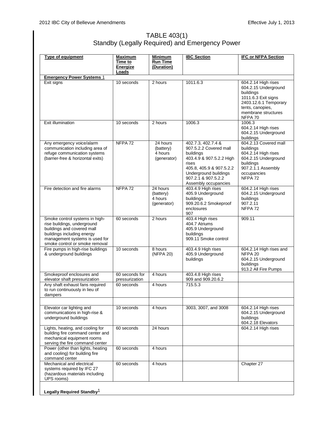# TABLE 403(1) Standby (Legally Required) and Emergency Power

| <b>Type of equipment</b>                                                                                                                                                                      | Maximum<br>Time to<br>Energize   | <b>Minimum</b><br><b>Run Time</b><br>(Duration)              | <b>IBC Section</b>                                                                                                                                                                                 | <b>IFC or NFPA Section</b>                                                                                                                                     |  |
|-----------------------------------------------------------------------------------------------------------------------------------------------------------------------------------------------|----------------------------------|--------------------------------------------------------------|----------------------------------------------------------------------------------------------------------------------------------------------------------------------------------------------------|----------------------------------------------------------------------------------------------------------------------------------------------------------------|--|
| Loads                                                                                                                                                                                         |                                  |                                                              |                                                                                                                                                                                                    |                                                                                                                                                                |  |
| <b>Emergency Power Systems 1</b><br>Exit signs                                                                                                                                                | 10 seconds                       | 2 hours                                                      | 1011.6.3                                                                                                                                                                                           | 604.2.14 High rises<br>604.2.15 Underground<br>buildings<br>1011.6.3 Exit signs<br>2403.12.6.1 Temporary<br>tents, canopies,<br>membrane structures<br>NFPA 70 |  |
| Exit illumination                                                                                                                                                                             | 10 seconds                       | 2 hours                                                      | 1006.3                                                                                                                                                                                             | 1006.3<br>604.2.14 High rises<br>604.2.15 Underground<br>buildings                                                                                             |  |
| Any emergency voice/alarm<br>communication including area of<br>refuge communication systems<br>(barrier-free & horizontal exits)                                                             | NFPA <sub>72</sub>               | 24 hours<br>(battery)<br>4 hours<br>(generator)              | 402.7.3, 402.7.4 &<br>907.5.2.2 Covered mall<br>buildings<br>403.4.9 & 907.5.2.2 High<br>rises<br>405.8, 405.9 & 907.5.2.2<br>Underground buildings<br>907.2.1 & 907.5.2.2<br>Assembly occupancies | 604.2.13 Covered mall<br>buildings<br>604.2.14 High rises<br>604.2.15 Underground<br>buildings<br>907.2.1.1 Assembly<br>occupancies<br>NFPA <sub>72</sub>      |  |
| Fire detection and fire alarms                                                                                                                                                                | NFPA <sub>72</sub>               | $\overline{24}$ hours<br>(battery)<br>4 hours<br>(generator) | 403.4.9 High rises<br>405.9 Underground<br>buildings<br>909.20.6.2 Smokeproof<br>enclosures<br>907                                                                                                 | 604.2.14 High rises<br>604.2.15 Underground<br>buildings<br>907.2.11<br>NFPA <sub>72</sub>                                                                     |  |
| Smoke control systems in high-<br>rise buildings, underground<br>buildings and covered mall<br>buildings including energy<br>management systems is used for<br>smoke control or smoke removal | 60 seconds                       | 2 hours                                                      | 403.4 High rises<br>404.7 Atriums<br>405.9 Underground<br>buildings<br>909.11 Smoke control                                                                                                        | 909.11                                                                                                                                                         |  |
| Fire pumps in high-rise buildings<br>& underground buildings                                                                                                                                  | 10 seconds                       | 8 hours<br>(NFPA 20)                                         | 403.4.9 High rises<br>405.9 Underground<br>buildings                                                                                                                                               | 604.2.14 High rises and<br>NFPA 20<br>604.2.15 Underground<br>buildings<br>913.2 All Fire Pumps                                                                |  |
| Smokeproof enclosures and<br>elevator shaft pressurization                                                                                                                                    | 60 seconds for<br>pressurization | 4 hours                                                      | 403.4.8 High rises<br>909 and 909.20.6.2                                                                                                                                                           |                                                                                                                                                                |  |
| Any shaft exhaust fans required<br>to run continuously in lieu of<br>dampers                                                                                                                  | 60 seconds                       | 4 hours                                                      | 715.5.3                                                                                                                                                                                            |                                                                                                                                                                |  |
| Elevator car lighting and<br>communications in high-rise &<br>underground buildings                                                                                                           | 10 seconds                       | 4 hours                                                      | 3003, 3007, and 3008                                                                                                                                                                               | 604.2.14 High rises<br>604.2.15 Underground<br>buildings<br>604.2.18 Elevators                                                                                 |  |
| Lights, heating, and cooling for<br>building fire command center and<br>mechanical equipment rooms<br>serving the fire command center                                                         | 60 seconds                       | 24 hours                                                     |                                                                                                                                                                                                    | 604.2.14 High rises                                                                                                                                            |  |
| Power (other than lights, heating<br>and cooling) for building fire<br>command center                                                                                                         | 60 seconds                       | 4 hours                                                      |                                                                                                                                                                                                    |                                                                                                                                                                |  |
| Mechanical and electrical<br>systems required by IFC 27<br>(hazardous materials including<br>UPS rooms)                                                                                       | 60 seconds                       | 4 hours                                                      |                                                                                                                                                                                                    | Chapter 27                                                                                                                                                     |  |
| Legally Required Standby <sup>1</sup>                                                                                                                                                         |                                  |                                                              |                                                                                                                                                                                                    |                                                                                                                                                                |  |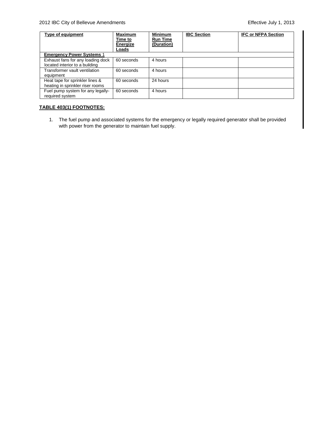# 2012 IBC City of Bellevue Amendments Effective July 1, 2013

| Type of equipment                                                   | <b>Maximum</b><br>Time to<br>Energize<br>Loads | <b>Minimum</b><br><b>Run Time</b><br>(Duration) | <b>IBC Section</b> | <b>IFC or NFPA Section</b> |
|---------------------------------------------------------------------|------------------------------------------------|-------------------------------------------------|--------------------|----------------------------|
| <b>Emergency Power Systems 1</b>                                    |                                                |                                                 |                    |                            |
| Exhaust fans for any loading dock<br>located interior to a building | 60 seconds                                     | 4 hours                                         |                    |                            |
| Transformer vault ventilation<br>equipment                          | 60 seconds                                     | 4 hours                                         |                    |                            |
| Heat tape for sprinkler lines &<br>heating in sprinkler riser rooms | 60 seconds                                     | 24 hours                                        |                    |                            |
| Fuel pump system for any legally-<br>required system                | 60 seconds                                     | 4 hours                                         |                    |                            |

# **TABLE 403(1) FOOTNOTES:**

1. The fuel pump and associated systems for the emergency or legally required generator shall be provided with power from the generator to maintain fuel supply.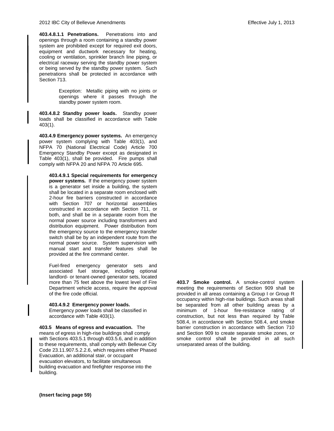**403.4.8.1.1 Penetrations.** Penetrations into and openings through a room containing a standby power system are prohibited except for required exit doors, equipment and ductwork necessary for heating, cooling or ventilation, sprinkler branch line piping, or electrical raceway serving the standby power system or being served by the standby power system. Such penetrations shall be protected in accordance with Section 713.

> Exception: Metallic piping with no joints or openings where it passes through the standby power system room.

**403.4.8.2 Standby power loads.**Standby power loads shall be classified in accordance with Table 403(1).

**403.4.9 Emergency power systems.** An emergency power system complying with Table 403(1), and NFPA 70 (National Electrical Code) Article 700 Emergency Standby Power except as designated in Table 403(1), shall be provided. Fire pumps shall comply with NFPA 20 and NFPA 70 Article 695.

**403.4.9.1 Special requirements for emergency power systems***.* If the emergency power system is a generator set inside a building, the system shall be located in a separate room enclosed with 2-hour fire barriers constructed in accordance with Section 707 or horizontal assemblies constructed in accordance with Section 711, or both, and shall be in a separate room from the normal power source including transformers and distribution equipment. Power distribution from the emergency source to the emergency transfer switch shall be by an independent route from the normal power source. System supervision with manual start and transfer features shall be provided at the fire command center.

Fuel-fired emergency generator sets and associated fuel storage, including optional landlord- or tenant-owned generator sets, located more than 75 feet above the lowest level of Fire Department vehicle access, require the approval of the fire code official.

#### **403.4.9.2 Emergency power loads.**

Emergency power loads shall be classified in accordance with Table 403(1).

**403.5 Means of egress and evacuation.** The means of egress in high-rise buildings shall comply with Sections 403.5.1 through 403.5.6, and in addition to these requirements, shall comply with Bellevue City Code 23.11.907.5.2.2.6, which requires either Phased Evacuation, an additional stair, or occupant evacuation elevators, to facilitate simultaneous building evacuation and firefighter response into the building.

**403.7 Smoke control.** A smoke-control system meeting the requirements of Section 909 shall be provided in all areas containing a Group I or Group R occupancy within high-rise buildings. Such areas shall be separated from all other building areas by a minimum of 1-hour fire-resistance rating of construction, but not less than required by Table 508.4, in accordance with Section 508.4, and smoke barrier construction in accordance with Section 710 and Section 909 to create separate smoke zones, or smoke control shall be provided in all such unseparated areas of the building.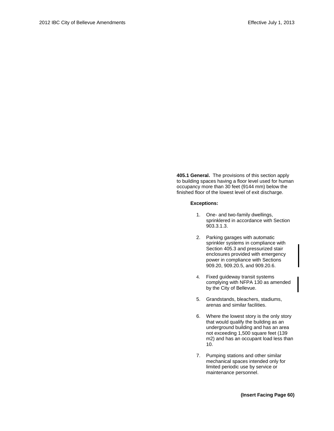**405.1 General.** The provisions of this section apply to building spaces having a floor level used for human occupancy more than 30 feet (9144 mm) below the finished floor of the lowest level of exit discharge.

#### **Exceptions:**

- 1. One- and two-family dwellings, sprinklered in accordance with Section 903.3.1.3.
- 2. Parking garages with automatic sprinkler systems in compliance with Section 405.3 and pressurized stair enclosures provided with emergency power in compliance with Sections 909.20, 909.20.5, and 909.20.6.
- 4. Fixed guideway transit systems complying with NFPA 130 as amended by the City of Bellevue.
- 5. Grandstands, bleachers, stadiums, arenas and similar facilities.
- 6. Where the lowest story is the only story that would qualify the building as an underground building and has an area not exceeding 1,500 square feet (139 m2) and has an occupant load less than 10.
- 7. Pumping stations and other similar mechanical spaces intended only for limited periodic use by service or maintenance personnel.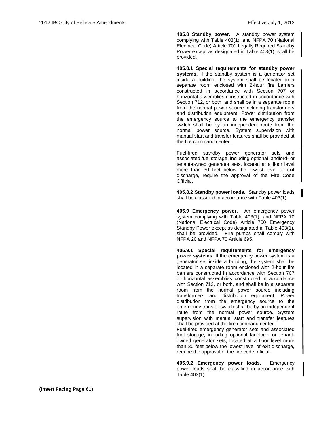**405.8 Standby power.**A standby power system complying with Table 403(1), and NFPA 70 (National Electrical Code) Article 701 Legally Required Standby Power except as designated in Table 403(1), shall be provided.

**405.8.1 Special requirements for standby power systems.** If the standby system is a generator set inside a building, the system shall be located in a separate room enclosed with 2-hour fire barriers constructed in accordance with Section 707 or horizontal assemblies constructed in accordance with Section 712, or both, and shall be in a separate room from the normal power source including transformers and distribution equipment. Power distribution from the emergency source to the emergency transfer switch shall be by an independent route from the normal power source. System supervision with manual start and transfer features shall be provided at the fire command center.

Fuel-fired standby power generator sets and associated fuel storage, including optional landlord- or tenant-owned generator sets, located at a floor level more than 30 feet below the lowest level of exit discharge, require the approval of the Fire Code Official.

**405.8.2 Standby power loads.**Standby power loads shall be classified in accordance with Table 403(1).

**405.9 Emergency power.** An emergency power system complying with Table 403(1), and NFPA 70 (National Electrical Code) Article 700 Emergency Standby Power except as designated in Table 403(1), shall be provided. Fire pumps shall comply with NFPA 20 and NFPA 70 Article 695.

**405.9.1 Special requirements for emergency power systems.** If the emergency power system is a generator set inside a building, the system shall be located in a separate room enclosed with 2-hour fire barriers constructed in accordance with Section 707 or horizontal assemblies constructed in accordance with Section 712, or both, and shall be in a separate room from the normal power source including transformers and distribution equipment. Power distribution from the emergency source to the emergency transfer switch shall be by an independent route from the normal power source. System supervision with manual start and transfer features shall be provided at the fire command center. Fuel-fired emergency generator sets and associated

fuel storage, including optional landlord- or tenantowned generator sets, located at a floor level more than 30 feet below the lowest level of exit discharge, require the approval of the fire code official.

**405.9.2 Emergency power loads.** Emergency power loads shall be classified in accordance with Table 403(1).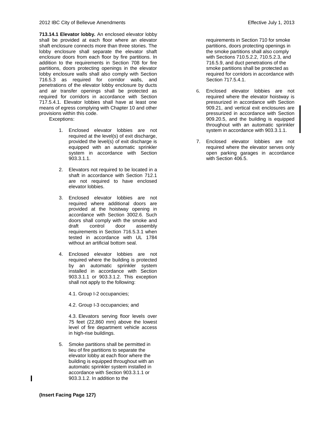**713.14.1 Elevator lobby.** An enclosed elevator lobby shall be provided at each floor where an elevator shaft enclosure connects more than three stories. The lobby enclosure shall separate the elevator shaft enclosure doors from each floor by fire partitions. In addition to the requirements in Section 708 for fire partitions, doors protecting openings in the elevator lobby enclosure walls shall also comply with Section 716.5.3 as required for corridor walls, and penetrations of the elevator lobby enclosure by ducts and air transfer openings shall be protected as required for corridors in accordance with Section 717.5.4.1. Elevator lobbies shall have at least one means of egress complying with Chapter 10 and other provisions within this code.

Exceptions:

- 1. Enclosed elevator lobbies are not required at the level(s) of exit discharge, provided the level(s) of exit discharge is equipped with an automatic sprinkler system in accordance with Section 903.3.1.1.
- 2. Elevators not required to be located in a shaft in accordance with Section 712.1 are not required to have enclosed elevator lobbies.
- 3. Enclosed elevator lobbies are not required where additional doors are provided at the hoistway opening in accordance with Section 3002.6. Such doors shall comply with the smoke and draft control door assembly requirements in Section 716.5.3.1 when tested in accordance with UL 1784 without an artificial bottom seal.
- 4. Enclosed elevator lobbies are not required where the building is protected by an automatic sprinkler system installed in accordance with Section 903.3.1.1 or 903.3.1.2. This exception shall not apply to the following:
	- 4.1. Group I-2 occupancies;
	- 4.2. Group I-3 occupancies; and

4.3. Elevators serving floor levels over 75 feet (22,860 mm) above the lowest level of fire department vehicle access in high-rise buildings.

5. Smoke partitions shall be permitted in lieu of fire partitions to separate the elevator lobby at each floor where the building is equipped throughout with an automatic sprinkler system installed in accordance with Section 903.3.1.1 or 903.3.1.2. In addition to the

requirements in Section 710 for smoke partitions, doors protecting openings in the smoke partitions shall also comply with Sections 710.5.2.2, 710.5.2.3, and 716.5.9, and duct penetrations of the smoke partitions shall be protected as required for corridors in accordance with Section 717.5.4.1.

- 6. Enclosed elevator lobbies are not required where the elevator hoistway is pressurized in accordance with Section 909.21, and vertical exit enclosures are pressurized in accordance with Section 909.20.5, and the building is equipped throughout with an automatic sprinkler system in accordance with 903.3.1.1.
- 7. Enclosed elevator lobbies are not required where the elevator serves only open parking garages in accordance with Section 406.5.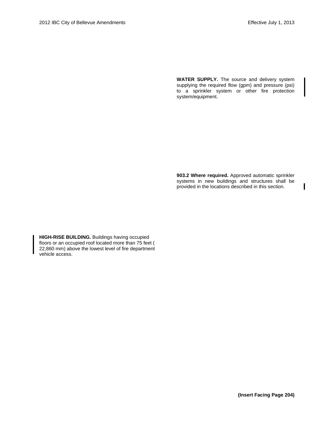I

**WATER SUPPLY.** The source and delivery system supplying the required flow (gpm) and pressure (psi) to a sprinkler system or other fire protection system/equipment.

**903.2 Where required.** Approved automatic sprinkler systems in new buildings and structures shall be provided in the locations described in this section.

**HIGH-RISE BUILDING.** Buildings having occupied floors or an occupied roof located more than 75 feet ( 22,860 mm) above the lowest level of fire department vehicle access.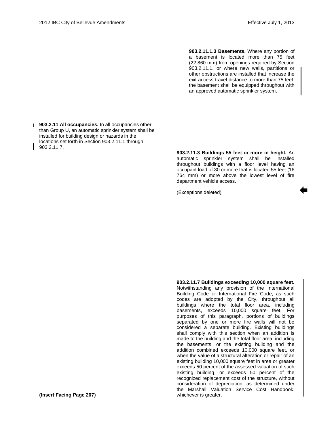**903.2.11.1.3 Basements.** Where any portion of a basement is located more than 75 feet (22,860 mm) from openings required by Section 903.2.11.1, or where new walls, partitions or other obstructions are installed that increase the exit access travel distance to more than 75 feet, the basement shall be equipped throughout with an approved automatic sprinkler system.

**903.2.11 All occupancies.** In all occupancies other than Group U, an automatic sprinkler system shall be installed for building design or hazards in the locations set forth in Section 903.2.11.1 through  $903.2.11.7.$ 

**903.2.11.3 Buildings 55 feet or more in height.** An automatic sprinkler system shall be installed throughout buildings with a floor level having an occupant load of 30 or more that is located 55 feet (16 764 mm) or more above the lowest level of fire department vehicle access.

(Exceptions deleted)

Notwithstanding any provision of the International Building Code or International Fire Code, as such codes are adopted by the City, throughout all buildings where the total floor area, including basements, exceeds 10,000 square feet. For purposes of this paragraph, portions of buildings separated by one or more fire walls will not be considered a separate building. Existing buildings shall comply with this section when an addition is made to the building and the total floor area, including the basements, or the existing building and the addition combined exceeds 10,000 square feet, or when the value of a structural alteration or repair of an existing building 10,000 square feet in area or greater exceeds 50 percent of the assessed valuation of such existing building, or exceeds 50 percent of the recognized replacement cost of the structure, without consideration of depreciation, as determined under the Marshall Valuation Service Cost Handbook, whichever is greater.

**903.2.11.7 Buildings exceeding 10,000 square feet.**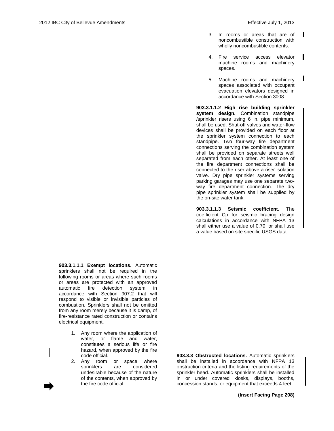I

- 3. In rooms or areas that are of I noncombustible construction with wholly noncombustible contents.
- 4. Fire service access elevator machine rooms and machinery spaces.
- 5. Machine rooms and machinery spaces associated with occupant evacuation elevators designed in accordance with Section 3008.

**903.3.1.1.2 High rise building sprinkler system design.** Combination standpipe /sprinkler risers using 6 in. pipe minimum, shall be used. Shut-off valves and water-flow devices shall be provided on each floor at the sprinkler system connection to each standpipe. Two four-way fire department connections serving the combination system shall be provided on separate streets well separated from each other. At least one of the fire department connections shall be connected to the riser above a riser isolation valve. Dry pipe sprinkler systems serving parking garages may use one separate twoway fire department connection. The dry pipe sprinkler system shall be supplied by the on-site water tank.

**903.3.1.1.3 Seismic coefficient**. The coefficient Cp for seismic bracing design calculations in accordance with NFPA 13 shall either use a value of 0.70, or shall use a value based on site specific USGS data.

**903.3.1.1.1 Exempt locations.** Automatic sprinklers shall not be required in the following rooms or areas where such rooms or areas are protected with an approved automatic fire detection system in accordance with Section 907.2 that will respond to visible or invisible particles of combustion. Sprinklers shall not be omitted from any room merely because it is damp, of fire-resistance rated construction or contains electrical equipment.

- 1. Any room where the application of water, or flame and water, constitutes a serious life or fire hazard, when approved by the fire code official.
- 2. Any room or space where sprinklers are considered undesirable because of the nature of the contents, when approved by the fire code official.

**903.3.3 Obstructed locations.** Automatic sprinklers shall be installed in accordance with NFPA 13 obstruction criteria and the listing requirements of the sprinkler head. Automatic sprinklers shall be installed in or under covered kiosks, displays, booths, concession stands, or equipment that exceeds 4 feet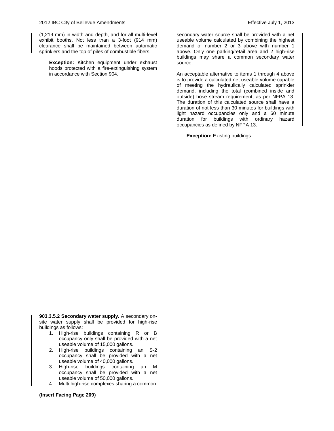(1,219 mm) in width and depth, and for all multi-level exhibit booths. Not less than a 3-foot (914 mm) clearance shall be maintained between automatic sprinklers and the top of piles of combustible fibers.

**Exception:** Kitchen equipment under exhaust hoods protected with a fire-extinguishing system in accordance with Section 904.

secondary water source shall be provided with a net useable volume calculated by combining the highest demand of number 2 or 3 above with number 1 above. Only one parking/retail area and 2 high-rise buildings may share a common secondary water source.

An acceptable alternative to items 1 through 4 above is to provide a calculated net useable volume capable of meeting the hydraulically calculated sprinkler demand, including the total (combined inside and outside) hose stream requirement, as per NFPA 13. The duration of this calculated source shall have a duration of not less than 30 minutes for buildings with light hazard occupancies only and a 60 minute duration for buildings with ordinary hazard occupancies as defined by NFPA 13.

**Exception:** Existing buildings.

**903.3.5.2 Secondary water supply.** A secondary onsite water supply shall be provided for high-rise buildings as follows:

- 1. High-rise buildings containing R or B occupancy only shall be provided with a net useable volume of 15,000 gallons.
- 2. High-rise buildings containing an S-2 occupancy shall be provided with a net useable volume of 40,000 gallons.
- 3. High-rise buildings containing an M occupancy shall be provided with a net useable volume of 50,000 gallons.
- 4. Multi high-rise complexes sharing a common

**(Insert Facing Page 209)**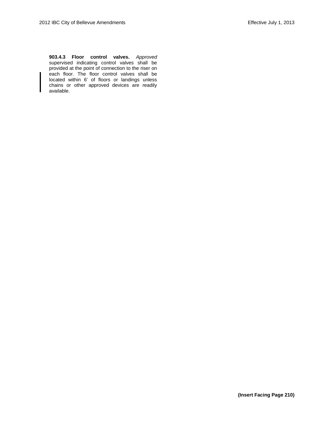**903.4.3 Floor control valves.** *Approved* supervised indicating control valves shall be provided at the point of connection to the riser on each floor. The floor control valves shall be located within 6' of floors or landings unless chains or other approved devices are readily available.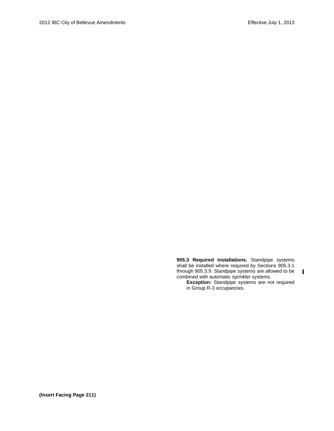**905.3 Required installations.** Standpipe systems shall be installed where required by Sections 905.3.1 through 905.3.9. Standpipe systems are allowed to be combined with automatic sprinkler systems.

**Exception:** Standpipe systems are not required in Group R-3 occupancies.

 $\mathbf I$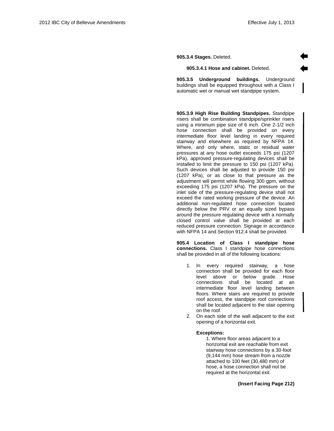**905.3.4 Stages.** Deleted.

#### **905.3.4.1 Hose and cabinet.** Deleted.

**905.3.5 Underground buildings.** Underground buildings shall be equipped throughout with a Class I automatic wet or manual wet standpipe system.

**905.3.9 High Rise Building Standpipes.** Standpipe risers shall be combination standpipe/sprinkler risers using a minimum pipe size of 6 inch. One 2-1/2 inch hose connection shall be provided on every intermediate floor level landing in every required stairway and elsewhere as required by NFPA 14. Where, and only where, static or residual water pressures at any hose outlet exceeds 175 psi (1207 kPa), approved pressure-regulating devices shall be installed to limit the pressure to 150 psi (1207 kPa). Such devices shall be adjusted to provide 150 psi (1207 kPa), or as close to that pressure as the adjustment will permit while flowing 300 gpm, without exceeding 175 psi (1207 kPa). The pressure on the inlet side of the pressure-regulating device shall not exceed the rated working pressure of the device. An additional non-regulated hose connection located directly below the PRV or an equally sized bypass around the pressure regulating device with a normally closed control valve shall be provided at each reduced pressure connection. Signage in accordance with NFPA 14 and Section 912.4 shall be provided.

**905.4 Location of Class I standpipe hose connections.** Class I standpipe hose connections shall be provided in all of the following locations:

- 1. In every required stairway, a hose connection shall be provided for each floor level above or below grade. Hose connections shall be located at an intermediate floor level landing between floors. Where stairs are required to provide roof access, the standpipe roof connections shall be located adjacent to the stair opening on the roof.
- 2. On each side of the wall adjacent to the exit opening of a horizontal exit.

#### **Exceptions:**

1. Where floor areas adjacent to a horizontal exit are reachable from exit stairway hose connections by a 30-foot (9,144 mm) hose stream from a nozzle attached to 100 feet (30,480 mm) of hose, a hose connection shall not be required at the horizontal exit.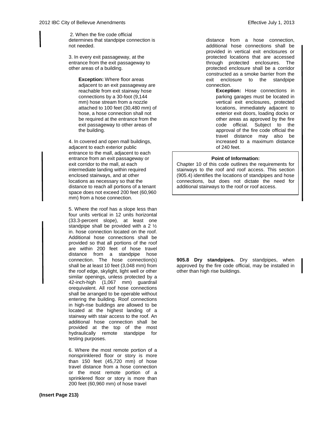2. When the fire code official determines that standpipe connection is not needed.

3. In every exit passageway, at the entrance from the exit passageway to other areas of a building.

> **Exception:** Where floor areas adjacent to an exit passageway are reachable from exit stairway hose connections by a 30-foot (9,144 mm) hose stream from a nozzle attached to 100 feet (30,480 mm) of hose, a hose connection shall not be required at the entrance from the exit passageway to other areas of the building.

4. In covered and open mall buildings, adjacent to each exterior public entrance to the mall, adjacent to each entrance from an exit passageway or exit corridor to the mall, at each intermediate landing within required enclosed stairways, and at other locations as necessary so that the distance to reach all portions of a tenant space does not exceed 200 feet (60,960 mm) from a hose connection.

5. Where the roof has a slope less than four units vertical in 12 units horizontal (33.3-percent slope), at least one standpipe shall be provided with a 2 ½ in. hose connection located on the roof. Additional hose connections shall be provided so that all portions of the roof are within 200 feet of hose travel distance from a standpipe hose connection. The hose connection(s) shall be at least 10 feet (3,048 mm) from the roof edge, skylight, light well or other similar openings, unless protected by a 42-inch-high (1,067 mm) guardrail orequivalent. All roof hose connections shall be arranged to be operable without entering the building. Roof connections in high-rise buildings are allowed to be located at the highest landing of a stairway with stair access to the roof. An additional hose connection shall be provided at the top of the most **hydraulically** remote standpipe for testing purposes.

6. Where the most remote portion of a nonsprinklered floor or story is more than 150 feet (45,720 mm) of hose travel distance from a hose connection or the most remote portion of a sprinklered floor or story is more than 200 feet (60,960 mm) of hose travel

distance from a hose connection, additional hose connections shall be provided in vertical exit enclosures or protected locations that are accessed through protected enclosures. The protected enclosure shall be a corridor constructed as a smoke barrier from the exit enclosure to the standpipe connection.

**Exception:** Hose connections in parking garages must be located in vertical exit enclosures, protected locations, immediately adjacent to exterior exit doors, loading docks or other areas as approved by the fire code official. Subject to the approval of the fire code official the travel distance may also be increased to a maximum distance of 240 feet.

#### **Point of Information:**

Chapter 10 of this code outlines the requirements for stairways to the roof and roof access. This section (905.4) identifies the locations of standpipes and hose connections, but does not dictate the need for additional stairways to the roof or roof access.

**905.8 Dry standpipes.** Dry standpipes, when approved by the fire code official, may be installed in other than high rise buildings.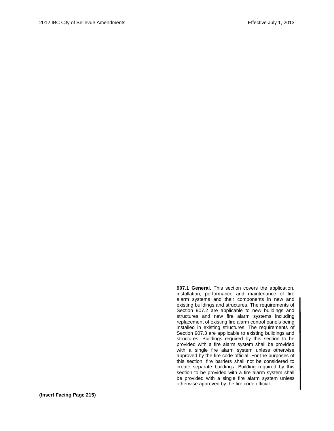**907.1 General.** This section covers the application, installation, performance and maintenance of fire alarm systems and their components in new and existing buildings and structures. The requirements of Section 907.2 are applicable to new buildings and structures and new fire alarm systems including replacement of existing fire alarm control panels being installed in existing structures. The requirements of Section 907.3 are applicable to existing buildings and structures. Buildings required by this section to be provided with a fire alarm system shall be provided with a single fire alarm system unless otherwise approved by the fire code official. For the purposes of this section, fire barriers shall not be considered to create separate buildings. Building required by this section to be provided with a fire alarm system shall be provided with a single fire alarm system unless otherwise approved by the fire code official.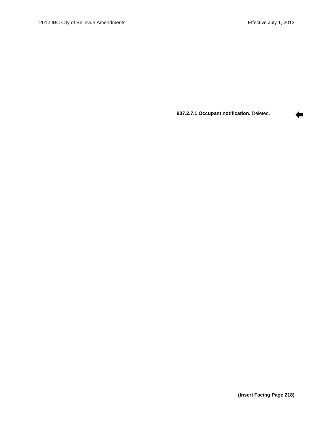⇚

**907.2.7.1 Occupant notification.** Deleted.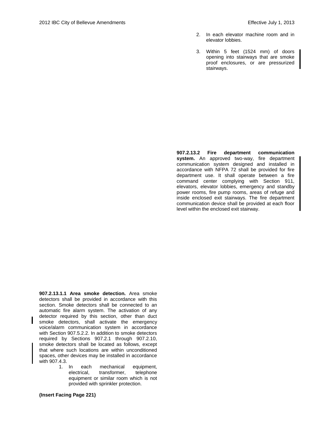- 2. In each elevator machine room and in elevator lobbies.
- 3. Within 5 feet (1524 mm) of doors opening into stairways that are smoke proof enclosures, or are pressurized stairways.

**907.2.13.2 Fire department communication system.** An approved two-way, fire department communication system designed and installed in accordance with NFPA 72 shall be provided for fire department use. It shall operate between a fire command center complying with Section 911, elevators, elevator lobbies, emergency and standby power rooms, fire pump rooms, areas of refuge and inside enclosed exit stairways. The fire department communication device shall be provided at each floor level within the enclosed exit stairway.

**907.2.13.1.1 Area smoke detection.** Area smoke detectors shall be provided in accordance with this section. Smoke detectors shall be connected to an automatic fire alarm system. The activation of any detector required by this section, other than duct smoke detectors, shall activate the emergency voice/alarm communication system in accordance with Section 907.5.2.2. In addition to smoke detectors required by Sections 907.2.1 through 907.2.10, smoke detectors shall be located as follows, except that where such locations are within unconditioned spaces, other devices may be installed in accordance with 907.4.3.

1. In each mechanical equipment, electrical, transformer, telephone equipment or similar room which is not provided with sprinkler protection.

**(Insert Facing Page 221)**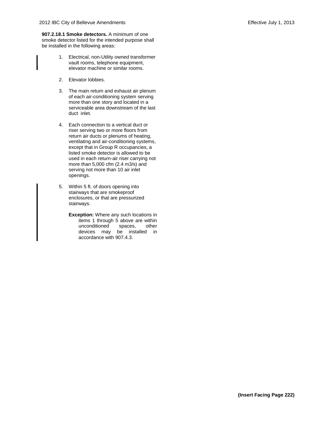**907.2.18.1 Smoke detectors.** A minimum of one smoke detector listed for the intended purpose shall be installed in the following areas:

- 1. Electrical, non-Utility owned transformer vault rooms, telephone equipment, elevator machine or similar rooms.
- 2. Elevator lobbies.
- 3. The main return and exhaust air plenum of each air-conditioning system serving more than one story and located in a serviceable area downstream of the last duct inlet.
- 4. Each connection to a vertical duct or riser serving two or more floors from return air ducts or plenums of heating, ventilating and air-conditioning systems, except that in Group R occupancies, a listed smoke detector is allowed to be used in each return-air riser carrying not more than 5,000 cfm (2.4 m3/s) and serving not more than 10 air inlet openings.
- 5. Within 5 ft. of doors opening into stairways that are smokeproof enclosures, or that are pressurized stairways.
	- **Exception:** Where any such locations in items 1 through 5 above are within unconditioned spaces, other devices may be installed in accordance with 907.4.3.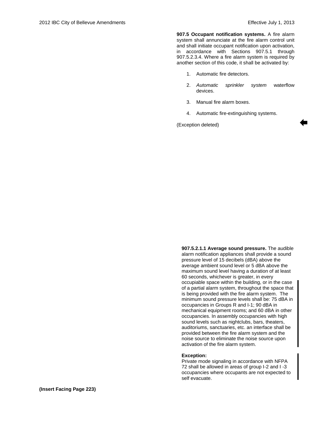**907.5 Occupant notification systems.** A fire alarm system shall annunciate at the fire alarm control unit and shall initiate occupant notification upon activation, in accordance with Sections 907.5.1 through 907.5.2.3.4. Where a fire alarm system is required by another section of this code, it shall be activated by:

- 1. Automatic fire detectors.
- 2. *Automatic sprinkler system* waterflow devices.
- 3. Manual fire alarm boxes.
- 4. Automatic fire-extinguishing systems.

(Exception deleted)

**907.5.2.1.1 Average sound pressure.** The audible alarm notification appliances shall provide a sound pressure level of 15 decibels (dBA) above the average ambient sound level or 5 dBA above the maximum sound level having a duration of at least 60 seconds, whichever is greater, in every occupiable space within the building, or in the case of a partial alarm system, throughout the space that is being provided with the fire alarm system. The minimum sound pressure levels shall be: 75 dBA in occupancies in Groups R and I-1; 90 dBA in mechanical equipment rooms; and 60 dBA in other occupancies. In assembly occupancies with high sound levels such as nightclubs, bars, theaters, auditoriums, sanctuaries, etc. an interface shall be provided between the fire alarm system and the noise source to eliminate the noise source upon activation of the fire alarm system.

#### **Exception:**

Private mode signaling in accordance with NFPA 72 shall be allowed in areas of group I-2 and I -3 occupancies where occupants are not expected to self evacuate.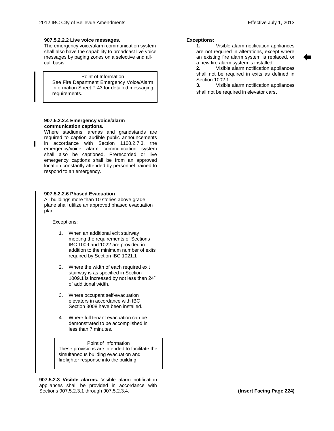## **907.5.2.2.2 Live voice messages.**

The emergency voice/alarm communication system shall also have the capability to broadcast live voice messages by paging zones on a selective and allcall basis.

#### Point of Information

See Fire Department Emergency Voice/Alarm Information Sheet F-43 for detailed messaging requirements.

## **907.5.2.2.4 Emergency voice/alarm communication captions.**

Where stadiums, arenas and grandstands are required to caption audible public announcements in accordance with Section 1108.2.7.3, the emergency/voice alarm communication system shall also be captioned. Prerecorded or live emergency captions shall be from an approved location constantly attended by personnel trained to respond to an emergency.

## **907.5.2.2.6 Phased Evacuation**

All buildings more than 10 stories above grade plane shall utilize an approved phased evacuation plan.

Exceptions:

- 1. When an additional exit stairway meeting the requirements of Sections IBC 1009 and 1022 are provided in addition to the minimum number of exits required by Section IBC 1021.1
- 2. Where the width of each required exit stairway is as specified in Section 1009.1 is increased by not less than 24" of additional width.
- 3. Where occupant self-evacuation elevators in accordance with IBC Section 3008 have been installed.
- 4. Where full tenant evacuation can be demonstrated to be accomplished in less than 7 minutes.

#### Point of Information These provisions are intended to facilitate the simultaneous building evacuation and firefighter response into the building.

**907.5.2.3 Visible alarms.** Visible alarm notification appliances shall be provided in accordance with Sections 907.5.2.3.1 through 907.5.2.3.4.

## **Exceptions:**

**1.** Visible alarm notification appliances are not required in alterations, except where an existing fire alarm system is replaced, or a new fire alarm system is installed.

**2.** Visible alarm notification appliances shall not be required in exits as defined in Section 1002.1

**3.** Visible alarm notification appliances shall not be required in elevator cars.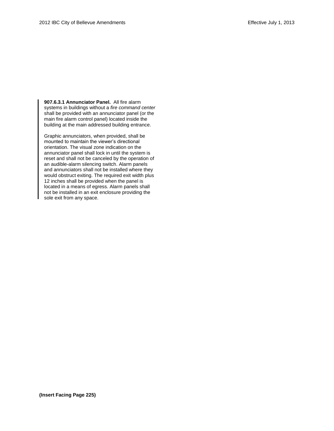**907.6.3.1 Annunciator Panel.** All fire alarm systems in buildings without a *fire command center* shall be provided with an annunciator panel (or the main fire alarm control panel) located inside the building at the main addressed building entrance.

Graphic annunciators, when provided, shall be mounted to maintain the viewer's directional orientation. The visual zone indication on the annunciator panel shall lock in until the system is reset and shall not be canceled by the operation of an audible-alarm silencing switch. Alarm panels and annunciators shall not be installed where they would obstruct exiting. The required exit width plus 12 inches shall be provided when the panel is located in a means of egress. Alarm panels shall not be installed in an exit enclosure providing the sole exit from any space.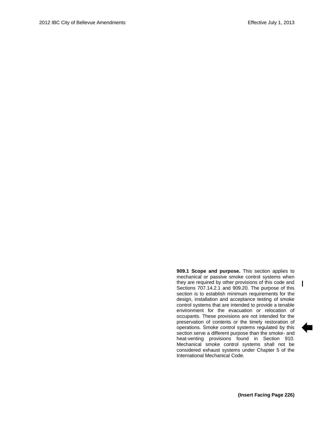**909.1 Scope and purpose.** This section applies to mechanical or passive smoke control systems when they are required by other provisions of this code and Sections 707.14.2.1 and 909.20. The purpose of this section is to establish minimum requirements for the design, installation and acceptance testing of smoke control systems that are intended to provide a tenable environment for the evacuation or relocation of occupants. These provisions are not intended for the preservation of contents or the timely restoration of operations. Smoke control systems regulated by this section serve a different purpose than the smoke- and heat-venting provisions found in Section 910. Mechanical smoke control systems shall not be considered exhaust systems under Chapter 5 of the International Mechanical Code.

 $\mathbf{I}$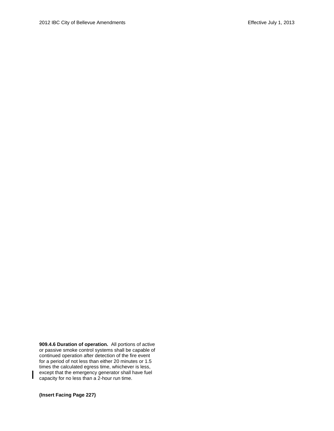**909.4.6 Duration of operation.** All portions of active or passive smoke control systems shall be capable of continued operation after detection of the fire event for a period of not less than either 20 minutes or 1.5 times the calculated egress time, whichever is less, except that the emergency generator shall have fuel capacity for no less than a 2-hour run time.

**(Insert Facing Page 227)**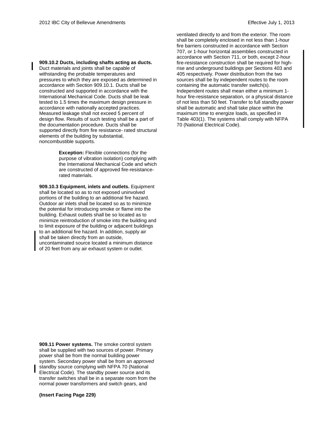**909.10.2 Ducts, including shafts acting as ducts.** Duct materials and joints shall be capable of withstanding the probable temperatures and pressures to which they are exposed as determined in accordance with Section 909.10.1. Ducts shall be constructed and supported in accordance with the International Mechanical Code. Ducts shall be leak tested to 1.5 times the maximum design pressure in accordance with nationally accepted practices. Measured leakage shall not exceed 5 percent of design flow. Results of such testing shall be a part of the documentation procedure. Ducts shall be supported directly from fire resistance- rated structural elements of the building by substantial, noncombustible supports.

> **Exception:** Flexible connections (for the purpose of vibration isolation) complying with the International Mechanical Code and which are constructed of approved fire-resistancerated materials.

**909.10.3 Equipment, inlets and outlets.** Equipment shall be located so as to not exposed uninvolved portions of the building to an additional fire hazard. Outdoor air inlets shall be located so as to minimize the potential for introducing smoke or flame into the building. Exhaust outlets shall be so located as to minimize reintroduction of smoke into the building and to limit exposure of the building or adjacent buildings to an additional fire hazard. In addition, supply air shall be taken directly from an outside, uncontaminated source located a minimum distance of 20 feet from any air exhaust system or outlet.

**909.11 Power systems.** The smoke control system shall be supplied with two sources of power. Primary power shall be from the normal building power system. Secondary power shall be from an *approved*  standby source complying with NFPA 70 (National Electrical Code). The standby power source and its transfer switches shall be in a separate room from the normal power transformers and switch gears, and

**(Insert Facing Page 229)**

ventilated directly to and from the exterior. The room shall be completely enclosed in not less than 1-hour fire barriers constructed in accordance with Section 707, or 1-hour horizontal assemblies constructed in accordance with Section 711, or both, except 2-hour fire-resistance construction shall be required for highrise and underground buildings per Sections 403 and 405 respectively. Power distribution from the two sources shall be by independent routes to the room containing the automatic transfer switch(s). Independent routes shall mean either a minimum 1 hour fire-resistance separation, or a physical distance of not less than 50 feet. Transfer to full standby power shall be automatic and shall take place within the maximum time to energize loads, as specified in Table 403(1). The systems shall comply with NFPA 70 (National Electrical Code).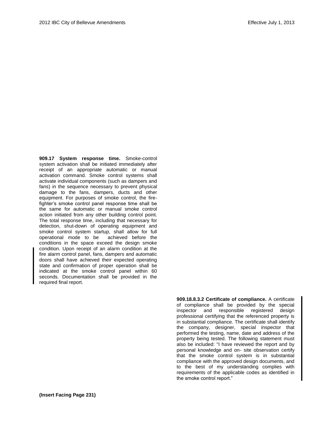**909.17 System response time.** Smoke-control system activation shall be initiated immediately after receipt of an appropriate automatic or manual activation command. Smoke control systems shall activate individual components (such as dampers and fans) in the sequence necessary to prevent physical damage to the fans, dampers, ducts and other equipment. For purposes of smoke control, the firefighter's smoke control panel response time shall be the same for automatic or manual smoke control action initiated from any other building control point. The total response time, including that necessary for detection, shut-down of operating equipment and smoke control system startup, shall allow for full operational mode to be achieved before the conditions in the space exceed the design smoke condition. Upon receipt of an alarm condition at the fire alarm control panel, fans, dampers and automatic doors shall have achieved their expected operating state and confirmation of proper operation shall be indicated at the smoke control panel within 60 seconds. Documentation shall be provided in the required final report.

> **909.18.8.3.2 Certificate of compliance.** A certificate of compliance shall be provided by the special inspector and responsible registered design professional certifying that the referenced property is in substantial compliance. The certificate shall identify the company, designer, special inspector that performed the testing, name, date and address of the property being tested. The following statement must also be included: "I have reviewed the report and by personal knowledge and on- site observation certify that the smoke control system is in substantial compliance with the approved design documents, and to the best of my understanding complies with requirements of the applicable codes as identified in the smoke control report."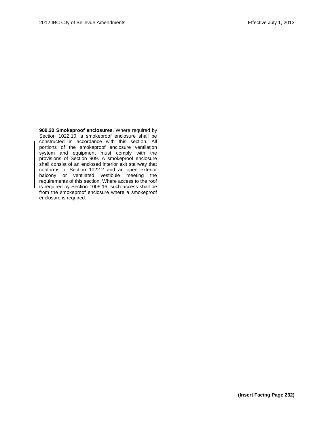**909.20 Smokeproof enclosures**. Where required by Section 1022.10, a smokeproof enclosure shall be constructed in accordance with this section. All portions of the smokeproof enclosure ventilation system and equipment must comply with the provisions of Section 909. A smokeproof enclosure shall consist of an enclosed interior exit stairway that conforms to Section 1022.2 and an open exterior balcony or ventilated vestibule meeting the requirements of this section. Where access to the roof is required by Section 1009.16, such access shall be from the smokeproof enclosure where a smokeproof enclosure is required.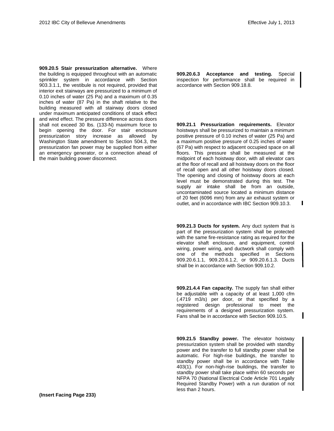п

**909.20.5 Stair pressurization alternative.** Where the building is equipped throughout with an automatic sprinkler system in accordance with Section 903.3.1.1, the vestibule is not required, provided that interior exit stairways are pressurized to a minimum of 0.10 inches of water (25 Pa) and a maximum of 0.35 inches of water (87 Pa) in the shaft relative to the building measured with all stairway doors closed under maximum anticipated conditions of stack effect and wind effect. The pressure difference across doors shall not exceed 30 lbs. (133-N) maximum force to begin opening the door. For stair enclosure pressurization story increase as allowed by Washington State amendment to Section 504.3, the pressurization fan power may be supplied from either an emergency generator, or a connection ahead of the main building power disconnect.

**909.20.6.3 Acceptance and testing.** Special inspection for performance shall be required in accordance with Section 909.18.8.

**909.21.1 Pressurization requirements.** Elevator hoistways shall be pressurized to maintain a minimum positive pressure of 0.10 inches of water (25 Pa) and a maximum positive pressure of 0.25 inches of water (67 Pa) with respect to adjacent occupied space on all floors. This pressure shall be measured at the midpoint of each hoistway door, with all elevator cars at the floor of recall and all hoistway doors on the floor of recall open and all other hoistway doors closed. The opening and closing of hoistway doors at each level must be demonstrated during this test. The supply air intake shall be from an outside, uncontaminated source located a minimum distance of 20 feet (6096 mm) from any air exhaust system or outlet, and in accordance with IBC Section 909.10.3.

**909.21.3 Ducts for system.** Any duct system that is part of the pressurization system shall be protected with the same fire-resistance rating as required for the elevator shaft enclosure, and equipment, control wiring, power wiring, and ductwork shall comply with one of the methods specified in Sections 909.20.6.1.1, 909.20.6.1.2, or 909.20.6.1.3. Ducts shall be in accordance with Section 909.10.2.

**909.21.4.4 Fan capacity.** The supply fan shall either be adjustable with a capacity of at least 1,000 cfm (.4719 m3/s) per door, or that specified by a registered design professional to meet the requirements of a designed pressurization system. Fans shall be in accordance with Section 909.10.5.

**909.21.5 Standby power.** The elevator hoistway pressurization system shall be provided with standby power and the transfer to full standby power shall be automatic. For high-rise buildings, the transfer to standby power shall be in accordance with Table 403(1). For non-high-rise buildings, the transfer to standby power shall take place within 60 seconds per NFPA 70 (National Electrical Code Article 701 Legally Required Standby Power) with a run duration of not less than 2 hours.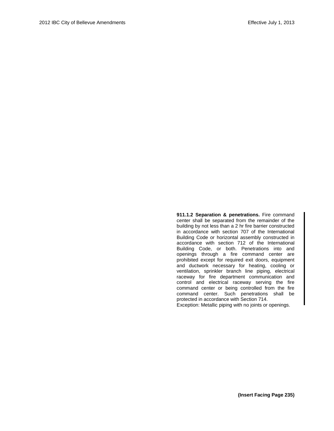911.1.2 Separation & penetrations. Fire command center shall be separated from the remainder of the building by not less than a 2 hr fire barrier constructed in accordance with section 707 of the International Building Code or horizontal assembly constructed in accordance with section 712 of the International Building Code, or both. Penetrations into and openings through a fire command center are prohibited except for required exit doors, equipment and ductwork necessary for heating, cooling or ventilation, sprinkler branch line piping, electrical raceway for fire department communication and control and electrical raceway serving the fire command center or being controlled from the fire command center. Such penetrations shall be protected in accordance with Section 714. Exception: Metallic piping with no joints or openings.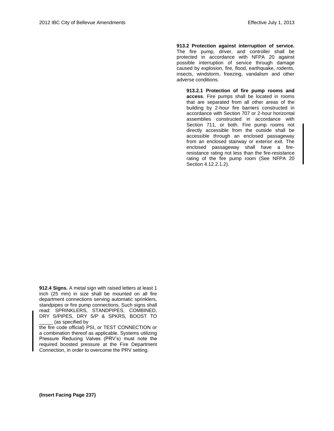**913.2 Protection against interruption of service.**  The fire pump, driver, and controller shall be protected in accordance with NFPA 20 against possible interruption of service through damage caused by explosion, fire, flood, earthquake, rodents, insects, windstorm, freezing, vandalism and other adverse conditions.

**913.2.1 Protection of fire pump rooms and access**. Fire pumps shall be located in rooms that are separated from all other areas of the building by 2-hour fire barriers constructed in accordance with Section 707 or 2-hour horizontal assemblies constructed in accordance with Section 711, or both. Fire pump rooms not directly accessible from the outside shall be accessible through an enclosed passageway from an enclosed stairway or exterior exit. The enclosed passageway shall have a fireresistance rating not less than the fire-resistance rating of the fire pump room (See NFPA 20 Section 4.12.2.1.2).

**912.4 Signs.** A metal sign with raised letters at least 1 inch (25 mm) in size shall be mounted on all fire department connections serving automatic sprinklers, standpipes or fire pump connections. Such signs shall read: SPRINKLERS, STANDPIPES, COMBINED, DRY S/PIPES, DRY S/P & SPKRS, BOOST TO \_\_\_\_\_ (as specified by

the fire code official) PSI, or TEST CONNECTION or a combination thereof as applicable. Systems utilizing Pressure Reducing Valves (PRV's) must note the required boosted pressure at the Fire Department Connection, in order to overcome the PRV setting.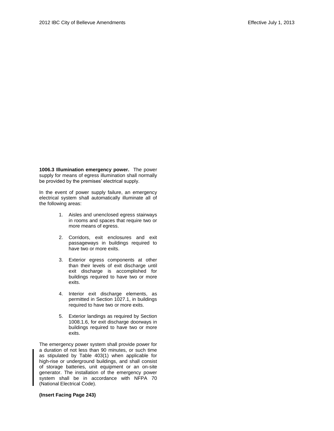**1006.3 Illumination emergency power.** The power supply for means of egress illumination shall normally be provided by the premises' electrical supply.

In the event of power supply failure, an emergency electrical system shall automatically illuminate all of the following areas:

- 1. Aisles and unenclosed egress stairways in rooms and spaces that require two or more means of egress.
- 2. Corridors, exit enclosures and exit passageways in buildings required to have two or more exits.
- 3. Exterior egress components at other than their levels of exit discharge until exit discharge is accomplished for buildings required to have two or more exits.
- 4. Interior exit discharge elements, as permitted in Section 1027.1, in buildings required to have two or more exits.
- 5. Exterior landings as required by Section 1008.1.6, for exit discharge doorways in buildings required to have two or more exits.

The emergency power system shall provide power for a duration of not less than 90 minutes, or such time as stipulated by Table 403(1) when applicable for high-rise or underground buildings, and shall consist of storage batteries, unit equipment or an on-site generator. The installation of the emergency power system shall be in accordance with NFPA 70 (National Electrical Code).

## **(Insert Facing Page 243)**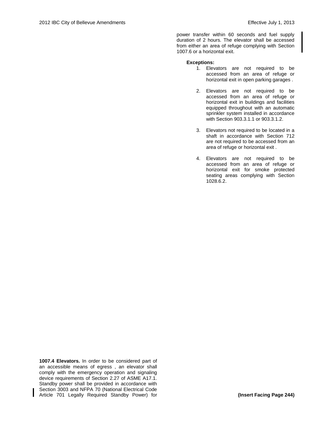power transfer within 60 seconds and fuel supply duration of 2 hours. The elevator shall be accessed from either an area of refuge complying with Section 1007.6 or a horizontal exit.

## **Exceptions:**

- 1. Elevators are not required to be accessed from an area of refuge or horizontal exit in open parking garages .
- 2. Elevators are not required to be accessed from an area of refuge or horizontal exit in buildings and facilities equipped throughout with an automatic sprinkler system installed in accordance with Section 903.3.1.1 or 903.3.1.2.
- 3. Elevators not required to be located in a shaft in accordance with Section 712 are not required to be accessed from an area of refuge or horizontal exit .
- 4. Elevators are not required to be accessed from an area of refuge or horizontal exit for smoke protected seating areas complying with Section 1028.6.2.

**1007.4 Elevators.** In order to be considered part of an accessible means of egress , an elevator shall comply with the emergency operation and signaling device requirements of Section 2.27 of ASME A17.1. Standby power shall be provided in accordance with Section 3003 and NFPA 70 (National Electrical Code Article 701 Legally Required Standby Power) for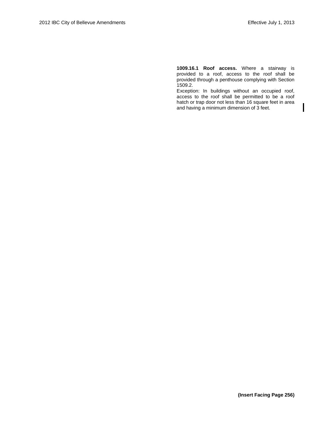**1009.16.1 Roof access.** Where a stairway is provided to a roof, access to the roof shall be provided through a penthouse complying with Section 1509.2.

Exception: In buildings without an occupied roof, access to the roof shall be permitted to be a roof hatch or trap door not less than 16 square feet in area and having a minimum dimension of 3 feet.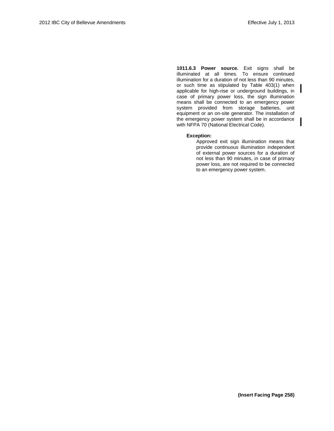**1011.6.3 Power source.** Exit signs shall be illuminated at all times. To ensure continued illumination for a duration of not less than 90 minutes, or such time as stipulated by Table 403(1) when applicable for high-rise or underground buildings, in case of primary power loss, the sign illumination means shall be connected to an emergency power system provided from storage batteries, unit equipment or an on-site generator. The installation of the emergency power system shall be in accordance with NFPA 70 (National Electrical Code).

## **Exception:**

Approved exit sign illumination means that provide continuous illumination independent of external power sources for a duration of not less than 90 minutes, in case of primary power loss, are not required to be connected to an emergency power system.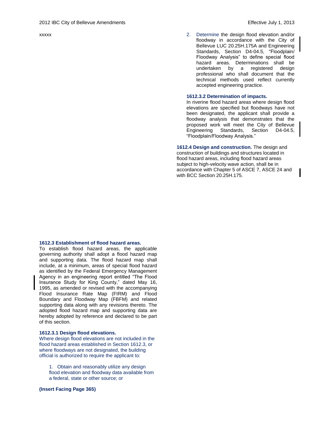xxxxx

2. Determine the design flood elevation and/or floodway in accordance with the City of Bellevue LUC 20.25H.175A and Engineering Standards, Section D4-04.5, "Floodplain/ Floodway Analysis" to define special flood hazard areas. Determinations shall be undertaken by a registered design professional who shall document that the technical methods used reflect currently accepted engineering practice.

#### **1612.3.2 Determination of impacts.**

In riverine flood hazard areas where design flood elevations are specified but floodways have not been designated, the applicant shall provide a floodway analysis that demonstrates that the proposed work will meet the City of Bellevue Engineering Standards, Section D4-04.5, "Floodplain/Floodway Analysis."

**1612.4 Design and construction.** The design and construction of buildings and structures located in flood hazard areas, including flood hazard areas subject to high-velocity wave action, shall be in accordance with Chapter 5 of ASCE 7, ASCE 24 and with BCC Section 20.25H.175.

#### **1612.3 Establishment of flood hazard areas.**

To establish flood hazard areas, the applicable governing authority shall adopt a flood hazard map and supporting data. The flood hazard map shall include, at a minimum, areas of special flood hazard as identified by the Federal Emergency Management Agency in an engineering report entitled "The Flood Insurance Study for King County," dated May 16, 1995, as amended or revised with the accompanying Flood Insurance Rate Map (FIRM) and Flood Boundary and Floodway Map (FBFM) and related supporting data along with any revisions thereto. The adopted flood hazard map and supporting data are hereby adopted by reference and declared to be part of this section.

#### **1612.3.1 Design flood elevations.**

Where design flood elevations are not included in the flood hazard areas established in Section 1612.3, or where floodways are not designated, the building official is authorized to require the applicant to:

1. Obtain and reasonably utilize any design flood elevation and floodway data available from a federal, state or other source; or

## **(Insert Facing Page 365)**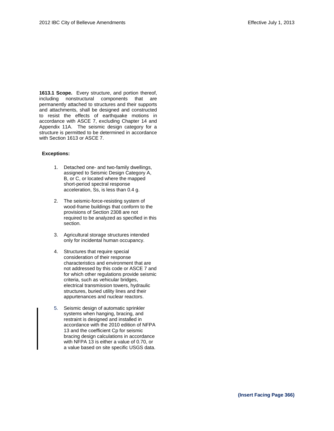**1613.1 Scope.** Every structure, and portion thereof, including nonstructural components that are permanently attached to structures and their supports and attachments, shall be designed and constructed to resist the effects of earthquake motions in accordance with ASCE 7, excluding Chapter 14 and Appendix 11A. The seismic design category for a structure is permitted to be determined in accordance with Section 1613 or ASCE 7.

#### **Exceptions:**

- 1. Detached one- and two-family dwellings, assigned to Seismic Design Category A, B, or C, or located where the mapped short-period spectral response acceleration, Ss, is less than 0.4 g.
- 2. The seismic-force-resisting system of wood-frame buildings that conform to the provisions of Section 2308 are not required to be analyzed as specified in this section.
- 3. Agricultural storage structures intended only for incidental human occupancy.
- 4. Structures that require special consideration of their response characteristics and environment that are not addressed by this code or ASCE 7 and for which other regulations provide seismic criteria, such as vehicular bridges, electrical transmission towers, hydraulic structures, buried utility lines and their appurtenances and nuclear reactors.
- 5. Seismic design of automatic sprinkler systems when hanging, bracing, and restraint is designed and installed in accordance with the 2010 edition of NFPA 13 and the coefficient Cp for seismic bracing design calculations in accordance with NFPA 13 is either a value of 0.70, or a value based on site specific USGS data.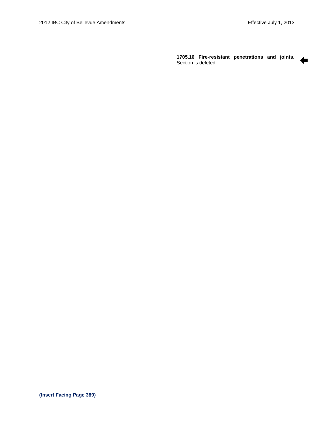⇚

**1705.16 Fire-resistant penetrations and joints.**  Section is deleted.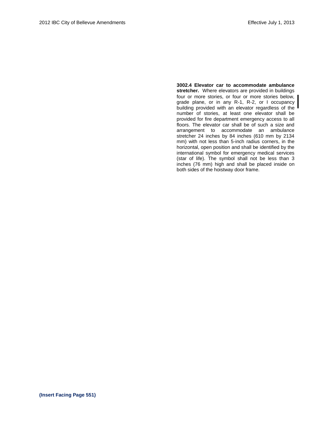**3002.4 Elevator car to accommodate ambulance stretcher.** Where elevators are provided in buildings four or more stories, or four or more stories below, grade plane, or in any R-1, R-2, or I occupancy building provided with an elevator regardless of the number of stories, at least one elevator shall be provided for fire department emergency access to all floors. The elevator car shall be of such a size and arrangement to accommodate an ambulance stretcher 24 inches by 84 inches (610 mm by 2134 mm) with not less than 5-inch radius corners, in the horizontal, open position and shall be identified by the international symbol for emergency medical services (star of life). The symbol shall not be less than 3 inches (76 mm) high and shall be placed inside on both sides of the hoistway door frame.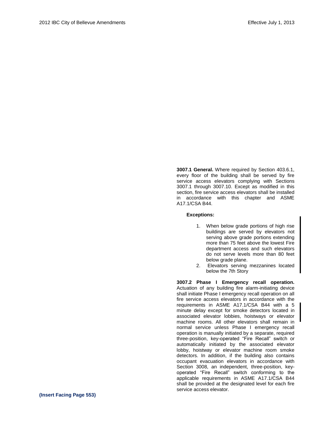**3007.1 General.** Where required by Section 403.6.1, every floor of the building shall be served by fire service access elevators complying with Sections 3007.1 through 3007.10. Except as modified in this section, fire service access elevators shall be installed in accordance with this chapter and ASME A17.1/CSA B44.

## **Exceptions:**

- 1. When below grade portions of high rise buildings are served by elevators not serving above grade portions extending more than 75 feet above the lowest Fire department access and such elevators do not serve levels more than 80 feet below grade plane.
- 2. Elevators serving mezzanines located below the 7th Story

**3007.2 Phase I Emergency recall operation.**  Actuation of any building fire alarm-initiating device shall initiate Phase I emergency recall operation on all fire service access elevators in accordance with the requirements in ASME A17.1/CSA B44 with a 5 minute delay except for smoke detectors located in associated elevator lobbies, hoistways or elevator machine rooms. All other elevators shall remain in normal service unless Phase I emergency recall operation is manually initiated by a separate, required three-position, key-operated "Fire Recall" switch or automatically initiated by the associated elevator lobby, hoistway or elevator machine room smoke detectors. In addition, if the building also contains occupant evacuation elevators in accordance with Section 3008, an independent, three-position, keyoperated "Fire Recall" switch conforming to the applicable requirements in ASME A17.1/CSA B44 shall be provided at the designated level for each fire service access elevator.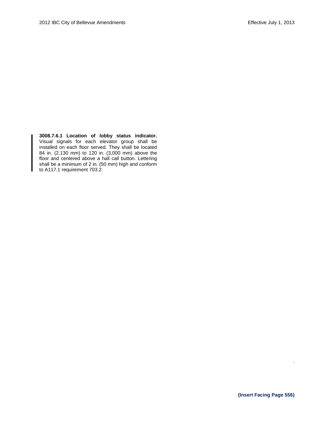**3008.7.6.1 Location of lobby status indicator.**  Visual signals for each elevator group shall be installed on each floor served. They shall be located 84 in. (2,130 mm) to 120 in. (3,000 mm) above the floor and centered above a hall call button. Lettering shall be a minimum of 2 in. (50 mm) high and conform to A117.1 requirement 703.2.

.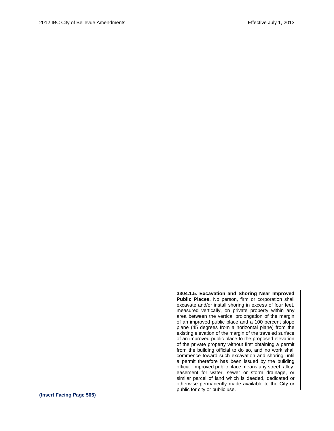**3304.1.5. Excavation and Shoring Near Improved Public Places.** No person, firm or corporation shall excavate and/or install shoring in excess of four feet, measured vertically, on private property within any area between the vertical prolongation of the margin of an improved public place and a 100 percent slope plane (45 degrees from a horizontal plane) from the existing elevation of the margin of the traveled surface of an improved public place to the proposed elevation of the private property without first obtaining a permit from the building official to do so, and no work shall commence toward such excavation and shoring until a permit therefore has been issued by the building official. Improved public place means any street, alley, easement for water, sewer or storm drainage, or similar parcel of land which is deeded, dedicated or otherwise permanently made available to the City or public for city or public use.